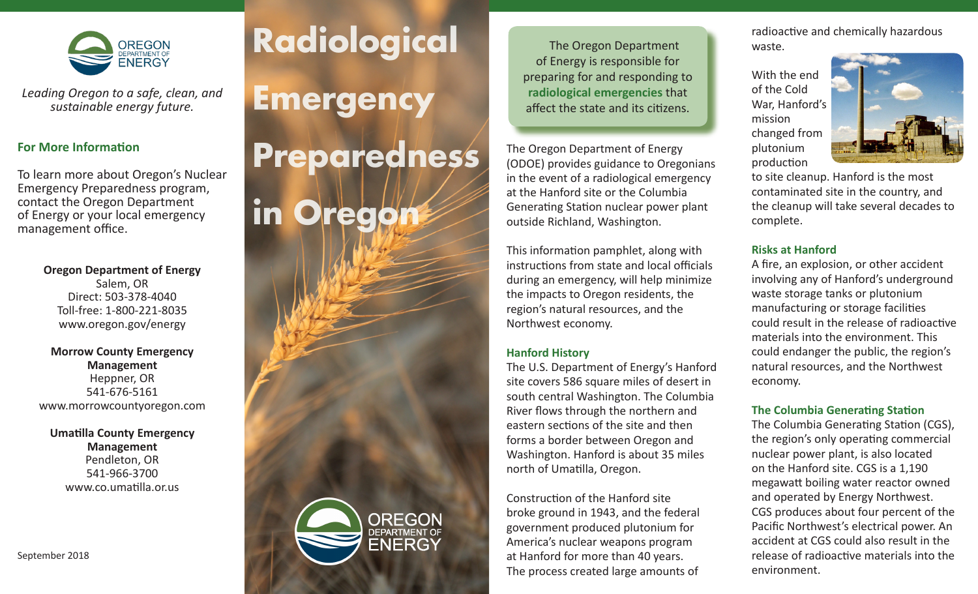

*Leading Oregon to a safe, clean, and sustainable energy future.*

### **For More Information**

To learn more about Oregon's Nuclear Emergency Preparedness program, contact the Oregon Department of Energy or your local emergency management office.

#### **Oregon Department of Energy**

Salem, OR Direct: 503-378-4040 Toll-free: 1-800-221-8035 www.oregon.gov/energy

#### **Morrow County Emergency Management** Heppner, OR 541-676-5161 www.morrowcountyoregon.com

#### **Umatilla County Emergency Management** Pendleton, OR 541-966-3700 www.co.umatilla.or.us

# **Radiological**

**Emergency**

# **Preparedness in Orego**



The Oregon Department of Energy is responsible for preparing for and responding to **radiological emergencies** that affect the state and its citizens.

The Oregon Department of Energy (ODOE) provides guidance to Oregonians in the event of a radiological emergency at the Hanford site or the Columbia Generating Station nuclear power plant outside Richland, Washington.

This information pamphlet, along with instructions from state and local officials during an emergency, will help minimize the impacts to Oregon residents, the region's natural resources, and the Northwest economy.

#### **Hanford History**

The U.S. Department of Energy's Hanford site covers 586 square miles of desert in south central Washington. The Columbia River flows through the northern and eastern sections of the site and then forms a border between Oregon and Washington. Hanford is about 35 miles north of Umatilla, Oregon.

Construction of the Hanford site broke ground in 1943, and the federal government produced plutonium for America's nuclear weapons program at Hanford for more than 40 years. The process created large amounts of

radioactive and chemically hazardous waste.

With the end of the Cold War, Hanford's mission changed from plutonium production



to site cleanup. Hanford is the most contaminated site in the country, and the cleanup will take several decades to complete.

# **Risks at Hanford**

A fire, an explosion, or other accident involving any of Hanford's underground waste storage tanks or plutonium manufacturing or storage facilities could result in the release of radioactive materials into the environment. This could endanger the public, the region's natural resources, and the Northwest economy.

### **The Columbia Generating Station**

The Columbia Generating Station (CGS), the region's only operating commercial nuclear power plant, is also located on the Hanford site. CGS is a 1,190 megawatt boiling water reactor owned and operated by Energy Northwest. CGS produces about four percent of the Pacific Northwest's electrical power. An accident at CGS could also result in the release of radioactive materials into the environment.